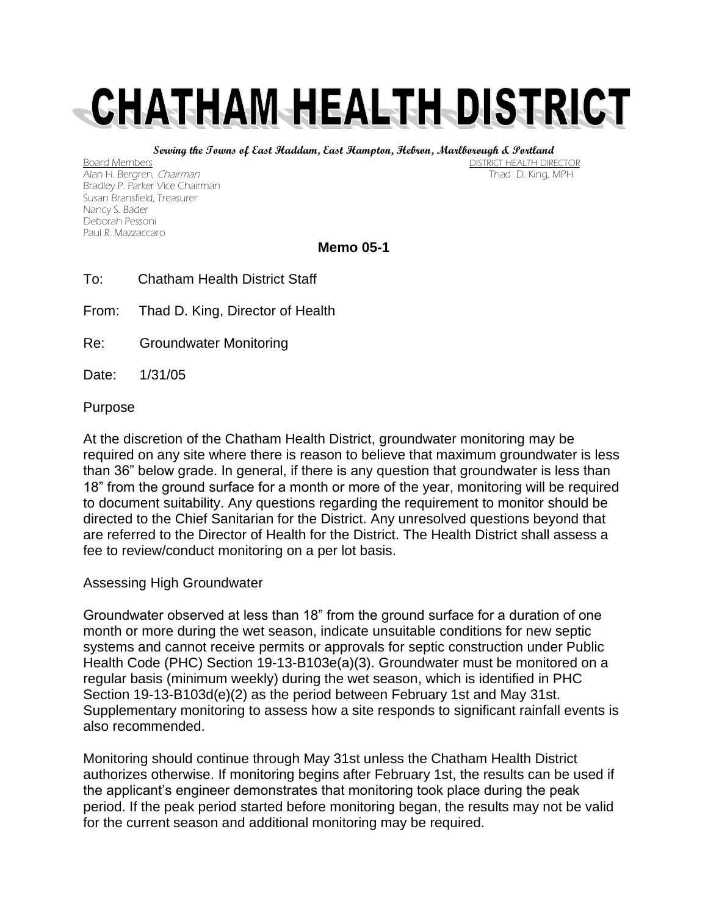# CHATHAM HEALTH DISTRICT

**Serving the Towns of East Haddam, East Hampton, Hebron, Marlborough & Portland**

Board Members Board Members (1999) and the control of the control of the control of the DISTRICT HEALTH DIRECTOR<br>Alan H. Beraren, *Chairman* Alan H. Bergren, Chairman Bradley P. Parker Vice Chairman Susan Bransfield, Treasurer Nancy S. Bader Deborah Pessoni Paul R. Mazzaccaro

# **Memo 05-1**

- To: Chatham Health District Staff
- From: Thad D. King, Director of Health
- Re: Groundwater Monitoring
- Date: 1/31/05

## Purpose

At the discretion of the Chatham Health District, groundwater monitoring may be required on any site where there is reason to believe that maximum groundwater is less than 36" below grade. In general, if there is any question that groundwater is less than 18" from the ground surface for a month or more of the year, monitoring will be required to document suitability. Any questions regarding the requirement to monitor should be directed to the Chief Sanitarian for the District. Any unresolved questions beyond that are referred to the Director of Health for the District. The Health District shall assess a fee to review/conduct monitoring on a per lot basis.

#### Assessing High Groundwater

Groundwater observed at less than 18" from the ground surface for a duration of one month or more during the wet season, indicate unsuitable conditions for new septic systems and cannot receive permits or approvals for septic construction under Public Health Code (PHC) Section 19-13-B103e(a)(3). Groundwater must be monitored on a regular basis (minimum weekly) during the wet season, which is identified in PHC Section 19-13-B103d(e)(2) as the period between February 1st and May 31st. Supplementary monitoring to assess how a site responds to significant rainfall events is also recommended.

Monitoring should continue through May 31st unless the Chatham Health District authorizes otherwise. If monitoring begins after February 1st, the results can be used if the applicant's engineer demonstrates that monitoring took place during the peak period. If the peak period started before monitoring began, the results may not be valid for the current season and additional monitoring may be required.